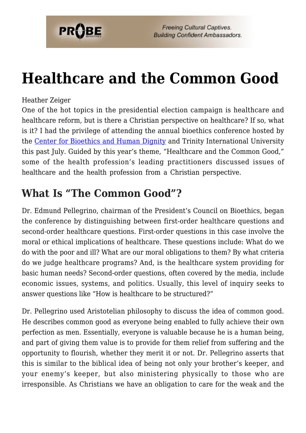

# **[Healthcare and the Common Good](https://probe.org/healthcare-and-the-common-good/)**

### Heather Zeiger

One of the hot topics in the presidential election campaign is healthcare and healthcare reform, but is there a Christian perspective on healthcare? If so, what is it? I had the privilege of attending the annual bioethics conference hosted by the [Center for Bioethics and Human Dignity](http://www.cbhd.org/) and Trinity International University this past July. Guided by this year's theme, "Healthcare and the Common Good," some of the health profession's leading practitioners discussed issues of healthcare and the health profession from a Christian perspective.

### **What Is "The Common Good"?**

Dr. Edmund Pellegrino, chairman of the President's Council on Bioethics, began the conference by distinguishing between first-order healthcare questions and second-order healthcare questions. First-order questions in this case involve the moral or ethical implications of healthcare. These questions include: What do we do with the poor and ill? What are our moral obligations to them? By what criteria do we judge healthcare programs? And, is the healthcare system providing for basic human needs? Second-order questions, often covered by the media, include economic issues, systems, and politics. Usually, this level of inquiry seeks to answer questions like "How is healthcare to be structured?"

Dr. Pellegrino used Aristotelian philosophy to discuss the idea of common good. He describes common good as everyone being enabled to fully achieve their own perfection as men. Essentially, everyone is valuable because he is a human being, and part of giving them value is to provide for them relief from suffering and the opportunity to flourish, whether they merit it or not. Dr. Pellegrino asserts that this is similar to the biblical idea of being not only your brother's keeper, and your enemy's keeper, but also ministering physically to those who are irresponsible. As Christians we have an obligation to care for the weak and the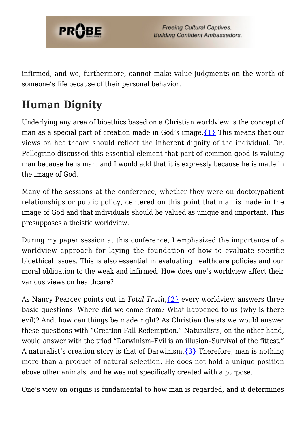

infirmed, and we, furthermore, cannot make value judgments on the worth of someone's life because of their personal behavior.

# **Human Dignity**

Underlying any area of bioethics based on a Christian worldview is the concept of man as a special part of creation made in God's image[.{1}](#page-4-0) This means that our views on healthcare should reflect the inherent dignity of the individual. Dr. Pellegrino discussed this essential element that part of common good is valuing man because he is man, and I would add that it is expressly because he is made in the image of God.

Many of the sessions at the conference, whether they were on doctor/patient relationships or public policy, centered on this point that man is made in the image of God and that individuals should be valued as unique and important. This presupposes a theistic worldview.

During my paper session at this conference, I emphasized the importance of a worldview approach for laying the foundation of how to evaluate specific bioethical issues. This is also essential in evaluating healthcare policies and our moral obligation to the weak and infirmed. How does one's worldview affect their various views on healthcare?

As Nancy Pearcey points out in *Total Truth*,[{2}](#page-4-1) every worldview answers three basic questions: Where did we come from? What happened to us (why is there evil)? And, how can things be made right? As Christian theists we would answer these questions with "Creation-Fall-Redemption." Naturalists, on the other hand, would answer with the triad "Darwinism–Evil is an illusion–Survival of the fittest." A naturalist's creation story is that of Darwinism. $\{3\}$  Therefore, man is nothing more than a product of natural selection. He does not hold a unique position above other animals, and he was not specifically created with a purpose.

One's view on origins is fundamental to how man is regarded, and it determines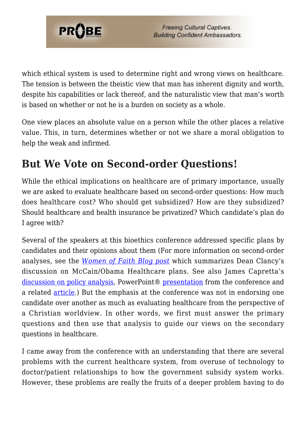

which ethical system is used to determine right and wrong views on healthcare. The tension is between the theistic view that man has inherent dignity and worth, despite his capabilities or lack thereof, and the naturalistic view that man's worth is based on whether or not he is a burden on society as a whole.

One view places an absolute value on a person while the other places a relative value. This, in turn, determines whether or not we share a moral obligation to help the weak and infirmed.

# **But We Vote on Second-order Questions!**

While the ethical implications on healthcare are of primary importance, usually we are asked to evaluate healthcare based on second-order questions: How much does healthcare cost? Who should get subsidized? How are they subsidized? Should healthcare and health insurance be privatized? Which candidate's plan do I agree with?

Several of the speakers at this bioethics conference addressed specific plans by candidates and their opinions about them (For more information on second-order analyses, see the *[Women of Faith Blog post](http://flashpointfiles.blogspot.com/2008/07/live-blogcast-health-care-common-good_2983.html)* which summarizes Dean Clancy's discussion on McCain/Obama Healthcare plans. See also James Capretta's [discussion on policy analysis](http://www.thenewatlantis.com/blog/diagnosis), PowerPoint® [presentation](http://www.thenewatlantis.com/docLib/20080731_TaxBased_Reform__Capretta.pdf) from the conference and a related [article](http://www.thenewatlantis.com/publications/whats-ailing-health-care).) But the emphasis at the conference was not in endorsing one candidate over another as much as evaluating healthcare from the perspective of a Christian worldview. In other words, we first must answer the primary questions and then use that analysis to guide our views on the secondary questions in healthcare.

I came away from the conference with an understanding that there are several problems with the current healthcare system, from overuse of technology to doctor/patient relationships to how the government subsidy system works. However, these problems are really the fruits of a deeper problem having to do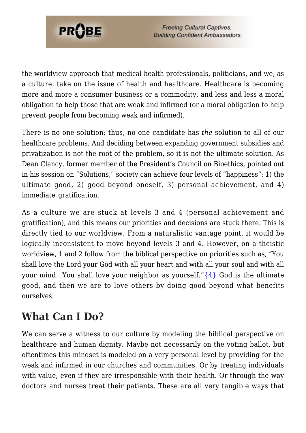

**Freeing Cultural Captives. Building Confident Ambassadors.** 

the worldview approach that medical health professionals, politicians, and we, as a culture, take on the issue of health and healthcare. Healthcare is becoming more and more a consumer business or a commodity, and less and less a moral obligation to help those that are weak and infirmed (or a moral obligation to help prevent people from becoming weak and infirmed).

There is no one solution; thus, no one candidate has *the* solution to all of our healthcare problems. And deciding between expanding government subsidies and privatization is not the root of the problem, so it is not the ultimate solution. As Dean Clancy, former member of the President's Council on Bioethics, pointed out in his session on "Solutions," society can achieve four levels of "happiness": 1) the ultimate good, 2) good beyond oneself, 3) personal achievement, and 4) immediate gratification.

As a culture we are stuck at levels 3 and 4 (personal achievement and gratification), and this means our priorities and decisions are stuck there. This is directly tied to our worldview. From a naturalistic vantage point, it would be logically inconsistent to move beyond levels 3 and 4. However, on a theistic worldview, 1 and 2 follow from the biblical perspective on priorities such as, "You shall love the Lord your God with all your heart and with all your soul and with all your mind...You shall love your neighbor as yourself." $\{4\}$  God is the ultimate good, and then we are to love others by doing good beyond what benefits ourselves.

# **What Can I Do?**

We can serve a witness to our culture by modeling the biblical perspective on healthcare and human dignity. Maybe not necessarily on the voting ballot, but oftentimes this mindset is modeled on a very personal level by providing for the weak and infirmed in our churches and communities. Or by treating individuals with value, even if they are irresponsible with their health. Or through the way doctors and nurses treat their patients. These are all very tangible ways that